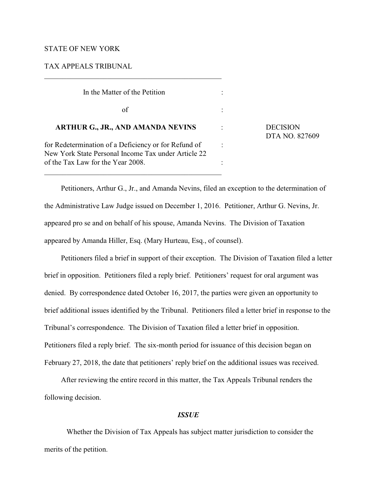## STATE OF NEW YORK

## TAX APPEALS TRIBUNAL

| In the Matter of the Petition                                                                               |  |                                   |
|-------------------------------------------------------------------------------------------------------------|--|-----------------------------------|
| of                                                                                                          |  |                                   |
| <b>ARTHUR G., JR., AND AMANDA NEVINS</b>                                                                    |  | <b>DECISION</b><br>DTA NO. 827609 |
| for Redetermination of a Deficiency or for Refund of<br>New York State Personal Income Tax under Article 22 |  |                                   |
| of the Tax Law for the Year 2008.                                                                           |  |                                   |

Petitioners, Arthur G., Jr., and Amanda Nevins, filed an exception to the determination of the Administrative Law Judge issued on December 1, 2016. Petitioner, Arthur G. Nevins, Jr. appeared pro se and on behalf of his spouse, Amanda Nevins. The Division of Taxation appeared by Amanda Hiller, Esq. (Mary Hurteau, Esq., of counsel).

Petitioners filed a brief in support of their exception. The Division of Taxation filed a letter brief in opposition. Petitioners filed a reply brief. Petitioners' request for oral argument was denied. By correspondence dated October 16, 2017, the parties were given an opportunity to brief additional issues identified by the Tribunal. Petitioners filed a letter brief in response to the Tribunal's correspondence. The Division of Taxation filed a letter brief in opposition. Petitioners filed a reply brief. The six-month period for issuance of this decision began on February 27, 2018, the date that petitioners' reply brief on the additional issues was received.

After reviewing the entire record in this matter, the Tax Appeals Tribunal renders the following decision.

## *ISSUE*

Whether the Division of Tax Appeals has subject matter jurisdiction to consider the merits of the petition.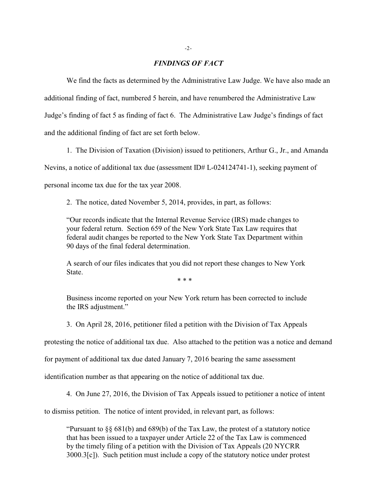#### *FINDINGS OF FACT*

We find the facts as determined by the Administrative Law Judge. We have also made an additional finding of fact, numbered 5 herein, and have renumbered the Administrative Law Judge's finding of fact 5 as finding of fact 6. The Administrative Law Judge's findings of fact and the additional finding of fact are set forth below.

1. The Division of Taxation (Division) issued to petitioners, Arthur G., Jr., and Amanda Nevins, a notice of additional tax due (assessment ID# L-024124741-1), seeking payment of personal income tax due for the tax year 2008.

2. The notice, dated November 5, 2014, provides, in part, as follows:

"Our records indicate that the Internal Revenue Service (IRS) made changes to your federal return. Section 659 of the New York State Tax Law requires that federal audit changes be reported to the New York State Tax Department within 90 days of the final federal determination.

A search of our files indicates that you did not report these changes to New York State.

\* \* \*

Business income reported on your New York return has been corrected to include the IRS adjustment."

3. On April 28, 2016, petitioner filed a petition with the Division of Tax Appeals

protesting the notice of additional tax due. Also attached to the petition was a notice and demand

for payment of additional tax due dated January 7, 2016 bearing the same assessment

identification number as that appearing on the notice of additional tax due.

4. On June 27, 2016, the Division of Tax Appeals issued to petitioner a notice of intent

to dismiss petition. The notice of intent provided, in relevant part, as follows:

"Pursuant to §§ 681(b) and 689(b) of the Tax Law, the protest of a statutory notice that has been issued to a taxpayer under Article 22 of the Tax Law is commenced by the timely filing of a petition with the Division of Tax Appeals (20 NYCRR 3000.3[c]). Such petition must include a copy of the statutory notice under protest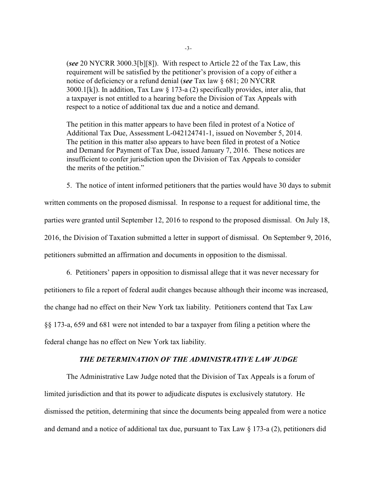(*see* 20 NYCRR 3000.3[b][8]). With respect to Article 22 of the Tax Law, this requirement will be satisfied by the petitioner's provision of a copy of either a notice of deficiency or a refund denial (*see* Tax law § 681; 20 NYCRR 3000.1[k]). In addition, Tax Law  $\S$  173-a (2) specifically provides, inter alia, that a taxpayer is not entitled to a hearing before the Division of Tax Appeals with respect to a notice of additional tax due and a notice and demand.

The petition in this matter appears to have been filed in protest of a Notice of Additional Tax Due, Assessment L-042124741-1, issued on November 5, 2014. The petition in this matter also appears to have been filed in protest of a Notice and Demand for Payment of Tax Due, issued January 7, 2016. These notices are insufficient to confer jurisdiction upon the Division of Tax Appeals to consider the merits of the petition."

5. The notice of intent informed petitioners that the parties would have 30 days to submit

written comments on the proposed dismissal. In response to a request for additional time, the parties were granted until September 12, 2016 to respond to the proposed dismissal. On July 18, 2016, the Division of Taxation submitted a letter in support of dismissal. On September 9, 2016, petitioners submitted an affirmation and documents in opposition to the dismissal.

6. Petitioners' papers in opposition to dismissal allege that it was never necessary for petitioners to file a report of federal audit changes because although their income was increased, the change had no effect on their New York tax liability. Petitioners contend that Tax Law §§ 173-a, 659 and 681 were not intended to bar a taxpayer from filing a petition where the federal change has no effect on New York tax liability.

# *THE DETERMINATION OF THE ADMINISTRATIVE LAW JUDGE*

The Administrative Law Judge noted that the Division of Tax Appeals is a forum of limited jurisdiction and that its power to adjudicate disputes is exclusively statutory. He dismissed the petition, determining that since the documents being appealed from were a notice and demand and a notice of additional tax due, pursuant to Tax Law  $\S$  173-a (2), petitioners did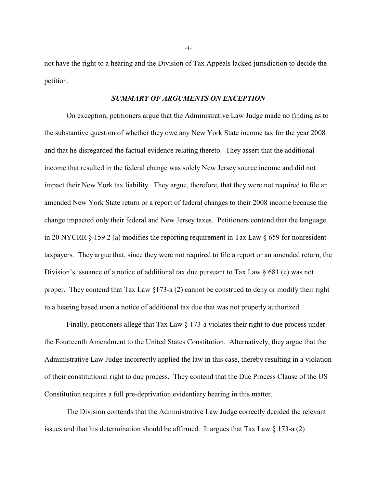not have the right to a hearing and the Division of Tax Appeals lacked jurisdiction to decide the petition.

# *SUMMARY OF ARGUMENTS ON EXCEPTION*

On exception, petitioners argue that the Administrative Law Judge made no finding as to the substantive question of whether they owe any New York State income tax for the year 2008 and that he disregarded the factual evidence relating thereto. They assert that the additional income that resulted in the federal change was solely New Jersey source income and did not impact their New York tax liability. They argue, therefore, that they were not required to file an amended New York State return or a report of federal changes to their 2008 income because the change impacted only their federal and New Jersey taxes. Petitioners contend that the language in 20 NYCRR  $\S 159.2$  (a) modifies the reporting requirement in Tax Law  $\S 659$  for nonresident taxpayers. They argue that, since they were not required to file a report or an amended return, the Division's issuance of a notice of additional tax due pursuant to Tax Law § 681 (e) was not proper. They contend that Tax Law §173-a (2) cannot be construed to deny or modify their right to a hearing based upon a notice of additional tax due that was not properly authorized.

Finally, petitioners allege that Tax Law § 173-a violates their right to due process under the Fourteenth Amendment to the United States Constitution. Alternatively, they argue that the Administrative Law Judge incorrectly applied the law in this case, thereby resulting in a violation of their constitutional right to due process. They contend that the Due Process Clause of the US Constitution requires a full pre-deprivation evidentiary hearing in this matter.

The Division contends that the Administrative Law Judge correctly decided the relevant issues and that his determination should be affirmed. It argues that Tax Law  $\S 173$ -a (2)

-4-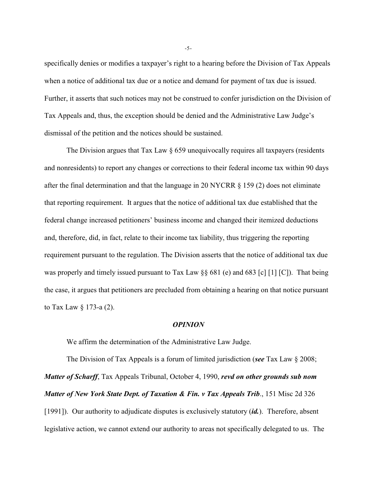specifically denies or modifies a taxpayer's right to a hearing before the Division of Tax Appeals when a notice of additional tax due or a notice and demand for payment of tax due is issued. Further, it asserts that such notices may not be construed to confer jurisdiction on the Division of Tax Appeals and, thus, the exception should be denied and the Administrative Law Judge's dismissal of the petition and the notices should be sustained.

The Division argues that Tax Law  $\S$  659 unequivocally requires all taxpayers (residents and nonresidents) to report any changes or corrections to their federal income tax within 90 days after the final determination and that the language in 20 NYCRR  $\S$  159 (2) does not eliminate that reporting requirement. It argues that the notice of additional tax due established that the federal change increased petitioners' business income and changed their itemized deductions and, therefore, did, in fact, relate to their income tax liability, thus triggering the reporting requirement pursuant to the regulation. The Division asserts that the notice of additional tax due was properly and timely issued pursuant to Tax Law §§ 681 (e) and 683 [c] [1] [C]). That being the case, it argues that petitioners are precluded from obtaining a hearing on that notice pursuant to Tax Law § 173-a (2).

#### *OPINION*

We affirm the determination of the Administrative Law Judge.

The Division of Tax Appeals is a forum of limited jurisdiction (*see* Tax Law § 2008; *Matter of Scharff*, Tax Appeals Tribunal, October 4, 1990, *revd on other grounds sub nom Matter of New York State Dept. of Taxation & Fin. v Tax Appeals Trib*., 151 Misc 2d 326 [1991]). Our authority to adjudicate disputes is exclusively statutory (*id.*). Therefore, absent legislative action, we cannot extend our authority to areas not specifically delegated to us. The

-5-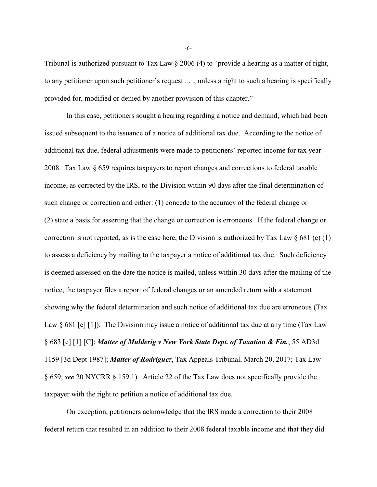Tribunal is authorized pursuant to Tax Law  $\S 2006 (4)$  to "provide a hearing as a matter of right, to any petitioner upon such petitioner's request . . ., unless a right to such a hearing is specifically provided for, modified or denied by another provision of this chapter."

In this case, petitioners sought a hearing regarding a notice and demand, which had been issued subsequent to the issuance of a notice of additional tax due. According to the notice of additional tax due, federal adjustments were made to petitioners' reported income for tax year 2008. Tax Law § 659 requires taxpayers to report changes and corrections to federal taxable income, as corrected by the IRS, to the Division within 90 days after the final determination of such change or correction and either: (1) concede to the accuracy of the federal change or (2) state a basis for asserting that the change or correction is erroneous. If the federal change or correction is not reported, as is the case here, the Division is authorized by Tax Law  $\S 681$  (e) (1) to assess a deficiency by mailing to the taxpayer a notice of additional tax due. Such deficiency is deemed assessed on the date the notice is mailed, unless within 30 days after the mailing of the notice, the taxpayer files a report of federal changes or an amended return with a statement showing why the federal determination and such notice of additional tax due are erroneous (Tax Law  $\S 681$  [e] [1]). The Division may issue a notice of additional tax due at any time (Tax Law § 683 [c] [1] [C]; *Matter of Mulderig v New York State Dept. of Taxation & Fin.*, 55 AD3d 1159 [3d Dept 1987]; *Matter of Rodriguez*, Tax Appeals Tribunal, March 20, 2017; Tax Law § 659; *see* 20 NYCRR § 159.1). Article 22 of the Tax Law does not specifically provide the taxpayer with the right to petition a notice of additional tax due.

On exception, petitioners acknowledge that the IRS made a correction to their 2008 federal return that resulted in an addition to their 2008 federal taxable income and that they did

-6-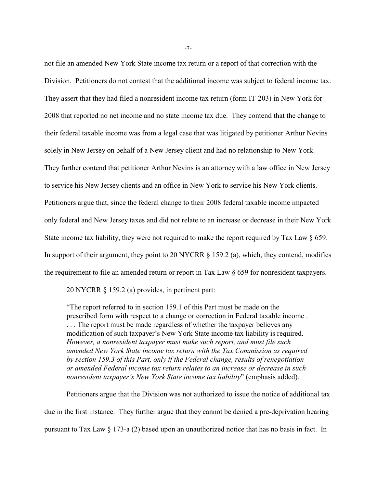not file an amended New York State income tax return or a report of that correction with the Division. Petitioners do not contest that the additional income was subject to federal income tax. They assert that they had filed a nonresident income tax return (form IT-203) in New York for 2008 that reported no net income and no state income tax due. They contend that the change to their federal taxable income was from a legal case that was litigated by petitioner Arthur Nevins solely in New Jersey on behalf of a New Jersey client and had no relationship to New York. They further contend that petitioner Arthur Nevins is an attorney with a law office in New Jersey to service his New Jersey clients and an office in New York to service his New York clients. Petitioners argue that, since the federal change to their 2008 federal taxable income impacted only federal and New Jersey taxes and did not relate to an increase or decrease in their New York State income tax liability, they were not required to make the report required by Tax Law  $\S$  659. In support of their argument, they point to 20 NYCRR § 159.2 (a), which, they contend, modifies the requirement to file an amended return or report in Tax Law § 659 for nonresident taxpayers.

20 NYCRR § 159.2 (a) provides, in pertinent part:

"The report referred to in section 159.1 of this Part must be made on the prescribed form with respect to a change or correction in Federal taxable income . . . . The report must be made regardless of whether the taxpayer believes any modification of such taxpayer's New York State income tax liability is required. *However, a nonresident taxpayer must make such report, and must file such amended New York State income tax return with the Tax Commission as required by section 159.3 of this Part, only if the Federal change, results of renegotiation or amended Federal income tax return relates to an increase or decrease in such nonresident taxpayer's New York State income tax liability*" (emphasis added).

Petitioners argue that the Division was not authorized to issue the notice of additional tax due in the first instance. They further argue that they cannot be denied a pre-deprivation hearing pursuant to Tax Law § 173-a (2) based upon an unauthorized notice that has no basis in fact. In

-7-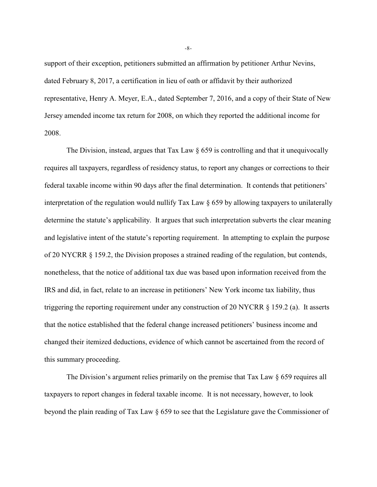support of their exception, petitioners submitted an affirmation by petitioner Arthur Nevins, dated February 8, 2017, a certification in lieu of oath or affidavit by their authorized representative, Henry A. Meyer, E.A., dated September 7, 2016, and a copy of their State of New Jersey amended income tax return for 2008, on which they reported the additional income for 2008.

The Division, instead, argues that Tax Law  $\S$  659 is controlling and that it unequivocally requires all taxpayers, regardless of residency status, to report any changes or corrections to their federal taxable income within 90 days after the final determination. It contends that petitioners' interpretation of the regulation would nullify Tax Law § 659 by allowing taxpayers to unilaterally determine the statute's applicability. It argues that such interpretation subverts the clear meaning and legislative intent of the statute's reporting requirement. In attempting to explain the purpose of 20 NYCRR § 159.2, the Division proposes a strained reading of the regulation, but contends, nonetheless, that the notice of additional tax due was based upon information received from the IRS and did, in fact, relate to an increase in petitioners' New York income tax liability, thus triggering the reporting requirement under any construction of 20 NYCRR § 159.2 (a). It asserts that the notice established that the federal change increased petitioners' business income and changed their itemized deductions, evidence of which cannot be ascertained from the record of this summary proceeding.

The Division's argument relies primarily on the premise that Tax Law § 659 requires all taxpayers to report changes in federal taxable income. It is not necessary, however, to look beyond the plain reading of Tax Law § 659 to see that the Legislature gave the Commissioner of

-8-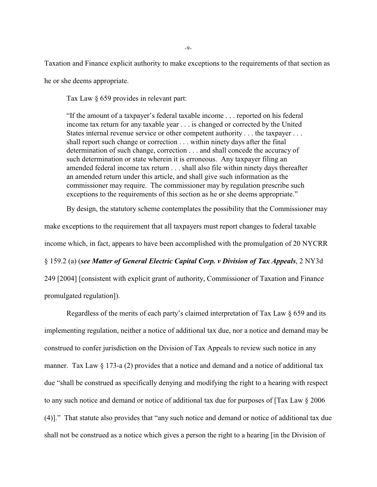Taxation and Finance explicit authority to make exceptions to the requirements of that section as he or she deems appropriate.

Tax Law § 659 provides in relevant part:

"If the amount of a taxpayer's federal taxable income . . . reported on his federal income tax return for any taxable year . . . is changed or corrected by the United States internal revenue service or other competent authority . . . the taxpayer . . . shall report such change or correction . . . within ninety days after the final determination of such change, correction . . . and shall concede the accuracy of such determination or state wherein it is erroneous. Any taxpayer filing an amended federal income tax return . . . shall also file within ninety days thereafter an amended return under this article, and shall give such information as the commissioner may require. The commissioner may by regulation prescribe such exceptions to the requirements of this section as he or she deems appropriate."

By design, the statutory scheme contemplates the possibility that the Commissioner may

make exceptions to the requirement that all taxpayers must report changes to federal taxable income which, in fact, appears to have been accomplished with the promulgation of 20 NYCRR § 159.2 (a) (*see Matter of General Electric Capital Corp. v Division of Tax Appeals*, 2 NY3d 249 [2004] [consistent with explicit grant of authority, Commissioner of Taxation and Finance promulgated regulation]).

Regardless of the merits of each party's claimed interpretation of Tax Law § 659 and its implementing regulation, neither a notice of additional tax due, nor a notice and demand may be construed to confer jurisdiction on the Division of Tax Appeals to review such notice in any manner. Tax Law  $\S$  173-a (2) provides that a notice and demand and a notice of additional tax due "shall be construed as specifically denying and modifying the right to a hearing with respect to any such notice and demand or notice of additional tax due for purposes of [Tax Law § 2006 (4)]." That statute also provides that "any such notice and demand or notice of additional tax due shall not be construed as a notice which gives a person the right to a hearing [in the Division of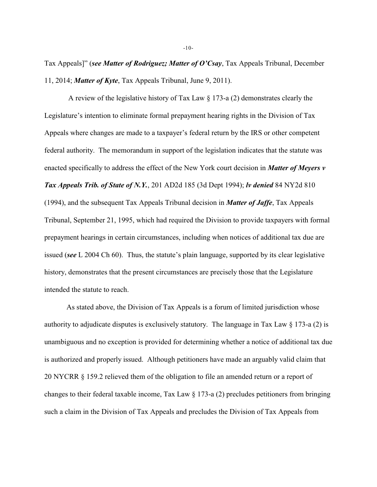Tax Appeals]" (*see Matter of Rodriguez; Matter of O'Csay*, Tax Appeals Tribunal, December 11, 2014; *Matter of Kyte*, Tax Appeals Tribunal, June 9, 2011).

 A review of the legislative history of Tax Law § 173-a (2) demonstrates clearly the Legislature's intention to eliminate formal prepayment hearing rights in the Division of Tax Appeals where changes are made to a taxpayer's federal return by the IRS or other competent federal authority. The memorandum in support of the legislation indicates that the statute was enacted specifically to address the effect of the New York court decision in *Matter of Meyers v Tax Appeals Trib. of State of N.Y.*, 201 AD2d 185 (3d Dept 1994); *lv denied* 84 NY2d 810 (1994), and the subsequent Tax Appeals Tribunal decision in *Matter of Jaffe*, Tax Appeals Tribunal, September 21, 1995, which had required the Division to provide taxpayers with formal prepayment hearings in certain circumstances, including when notices of additional tax due are issued (*see* L 2004 Ch 60). Thus, the statute's plain language, supported by its clear legislative history, demonstrates that the present circumstances are precisely those that the Legislature intended the statute to reach.

As stated above, the Division of Tax Appeals is a forum of limited jurisdiction whose authority to adjudicate disputes is exclusively statutory. The language in Tax Law § 173-a (2) is unambiguous and no exception is provided for determining whether a notice of additional tax due is authorized and properly issued. Although petitioners have made an arguably valid claim that 20 NYCRR § 159.2 relieved them of the obligation to file an amended return or a report of changes to their federal taxable income, Tax Law  $\S 173$ -a (2) precludes petitioners from bringing such a claim in the Division of Tax Appeals and precludes the Division of Tax Appeals from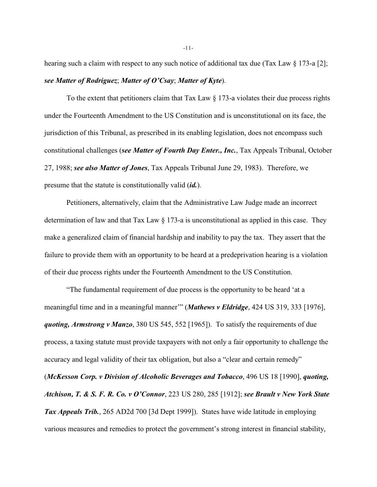hearing such a claim with respect to any such notice of additional tax due (Tax Law  $\S 173$ -a [2]; *see Matter of Rodriguez*; *Matter of O'Csay*; *Matter of Kyte*).

To the extent that petitioners claim that Tax Law § 173-a violates their due process rights under the Fourteenth Amendment to the US Constitution and is unconstitutional on its face, the jurisdiction of this Tribunal, as prescribed in its enabling legislation, does not encompass such constitutional challenges (*see Matter of Fourth Day Enter., Inc.*, Tax Appeals Tribunal, October 27, 1988; *see also Matter of Jones*, Tax Appeals Tribunal June 29, 1983). Therefore, we presume that the statute is constitutionally valid (*id.*).

Petitioners, alternatively, claim that the Administrative Law Judge made an incorrect determination of law and that Tax Law § 173-a is unconstitutional as applied in this case. They make a generalized claim of financial hardship and inability to pay the tax. They assert that the failure to provide them with an opportunity to be heard at a predeprivation hearing is a violation of their due process rights under the Fourteenth Amendment to the US Constitution.

"The fundamental requirement of due process is the opportunity to be heard 'at a meaningful time and in a meaningful manner'" (*Mathews v Eldridge*, 424 US 319, 333 [1976], *quoting, Armstrong v Manzo*, 380 US 545, 552 [1965]). To satisfy the requirements of due process, a taxing statute must provide taxpayers with not only a fair opportunity to challenge the accuracy and legal validity of their tax obligation, but also a "clear and certain remedy" (*McKesson Corp. v Division of Alcoholic Beverages and Tobacco*, 496 US 18 [1990], *quoting, Atchison, T. & S. F. R. Co. v O'Connor*, 223 US 280, 285 [1912]; *see Brault v New York State Tax Appeals Trib.*, 265 AD2d 700 [3d Dept 1999]). States have wide latitude in employing various measures and remedies to protect the government's strong interest in financial stability,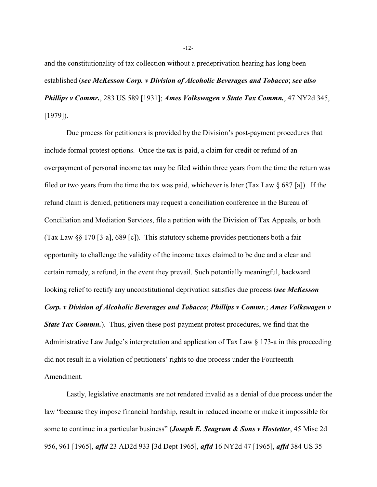and the constitutionality of tax collection without a predeprivation hearing has long been established (*see McKesson Corp. v Division of Alcoholic Beverages and Tobacco*; *see also Phillips v Commr.*, 283 US 589 [1931]; *Ames Volkswagen v State Tax Commn.*, 47 NY2d 345, [1979]).

Due process for petitioners is provided by the Division's post-payment procedures that include formal protest options. Once the tax is paid, a claim for credit or refund of an overpayment of personal income tax may be filed within three years from the time the return was filed or two years from the time the tax was paid, whichever is later (Tax Law  $\S$  687 [a]). If the refund claim is denied, petitioners may request a conciliation conference in the Bureau of Conciliation and Mediation Services, file a petition with the Division of Tax Appeals, or both (Tax Law §§ 170 [3-a], 689 [c]). This statutory scheme provides petitioners both a fair opportunity to challenge the validity of the income taxes claimed to be due and a clear and certain remedy, a refund, in the event they prevail. Such potentially meaningful, backward looking relief to rectify any unconstitutional deprivation satisfies due process (*see McKesson Corp. v Division of Alcoholic Beverages and Tobacco*; *Phillips v Commr.*; *Ames Volkswagen v*

*State Tax Commn.*). Thus, given these post-payment protest procedures, we find that the Administrative Law Judge's interpretation and application of Tax Law § 173-a in this proceeding did not result in a violation of petitioners' rights to due process under the Fourteenth Amendment.

Lastly, legislative enactments are not rendered invalid as a denial of due process under the law "because they impose financial hardship, result in reduced income or make it impossible for some to continue in a particular business" (*Joseph E. Seagram & Sons v Hostetter*, 45 Misc 2d 956, 961 [1965], *affd* 23 AD2d 933 [3d Dept 1965], *affd* 16 NY2d 47 [1965], *affd* 384 US 35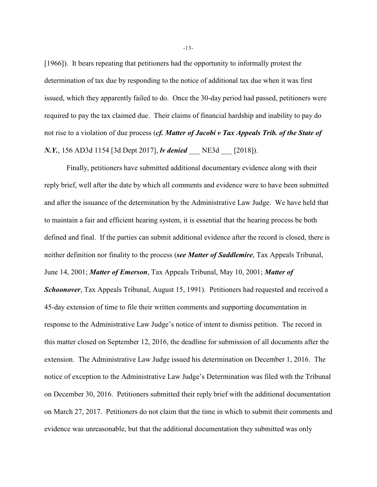[1966]). It bears repeating that petitioners had the opportunity to informally protest the determination of tax due by responding to the notice of additional tax due when it was first issued, which they apparently failed to do. Once the 30-day period had passed, petitioners were required to pay the tax claimed due. Their claims of financial hardship and inability to pay do not rise to a violation of due process (*cf. Matter of Jacobi v Tax Appeals Trib. of the State of N.Y.*, 156 AD3d 1154 [3d Dept 2017], *lv denied* \_\_\_ NE3d \_\_\_ [2018]).

Finally, petitioners have submitted additional documentary evidence along with their reply brief, well after the date by which all comments and evidence were to have been submitted and after the issuance of the determination by the Administrative Law Judge. We have held that to maintain a fair and efficient hearing system, it is essential that the hearing process be both defined and final. If the parties can submit additional evidence after the record is closed, there is neither definition nor finality to the process (*see Matter of Saddlemire*, Tax Appeals Tribunal, June 14, 2001; *Matter of Emerson*, Tax Appeals Tribunal, May 10, 2001; *Matter of Schoonover*, Tax Appeals Tribunal, August 15, 1991). Petitioners had requested and received a 45-day extension of time to file their written comments and supporting documentation in response to the Administrative Law Judge's notice of intent to dismiss petition. The record in this matter closed on September 12, 2016, the deadline for submission of all documents after the extension. The Administrative Law Judge issued his determination on December 1, 2016. The notice of exception to the Administrative Law Judge's Determination was filed with the Tribunal on December 30, 2016. Petitioners submitted their reply brief with the additional documentation on March 27, 2017. Petitioners do not claim that the time in which to submit their comments and evidence was unreasonable, but that the additional documentation they submitted was only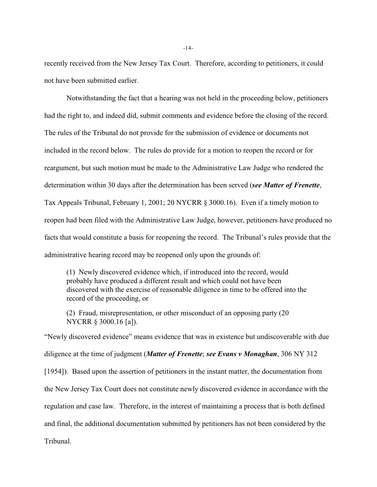recently received from the New Jersey Tax Court. Therefore, according to petitioners, it could not have been submitted earlier.

Notwithstanding the fact that a hearing was not held in the proceeding below, petitioners had the right to, and indeed did, submit comments and evidence before the closing of the record. The rules of the Tribunal do not provide for the submission of evidence or documents not included in the record below. The rules do provide for a motion to reopen the record or for reargument, but such motion must be made to the Administrative Law Judge who rendered the determination within 30 days after the determination has been served (*see Matter of Frenette*, Tax Appeals Tribunal, February 1, 2001; 20 NYCRR § 3000.16). Even if a timely motion to reopen had been filed with the Administrative Law Judge, however, petitioners have produced no facts that would constitute a basis for reopening the record. The Tribunal's rules provide that the administrative hearing record may be reopened only upon the grounds of:

(1) Newly discovered evidence which, if introduced into the record, would probably have produced a different result and which could not have been discovered with the exercise of reasonable diligence in time to be offered into the record of the proceeding, or

(2) Fraud, misrepresentation, or other misconduct of an opposing party (20 NYCRR § 3000.16 [a]).

"Newly discovered evidence" means evidence that was in existence but undiscoverable with due diligence at the time of judgment (*Matter of Frenette*; *see Evans v Monaghan*, 306 NY 312 [1954]). Based upon the assertion of petitioners in the instant matter, the documentation from the New Jersey Tax Court does not constitute newly discovered evidence in accordance with the regulation and case law. Therefore, in the interest of maintaining a process that is both defined and final, the additional documentation submitted by petitioners has not been considered by the Tribunal.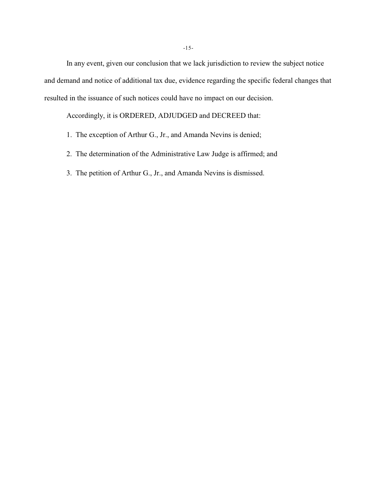In any event, given our conclusion that we lack jurisdiction to review the subject notice and demand and notice of additional tax due, evidence regarding the specific federal changes that resulted in the issuance of such notices could have no impact on our decision.

Accordingly, it is ORDERED, ADJUDGED and DECREED that:

- 1. The exception of Arthur G., Jr., and Amanda Nevins is denied;
- 2. The determination of the Administrative Law Judge is affirmed; and
- 3. The petition of Arthur G., Jr., and Amanda Nevins is dismissed.